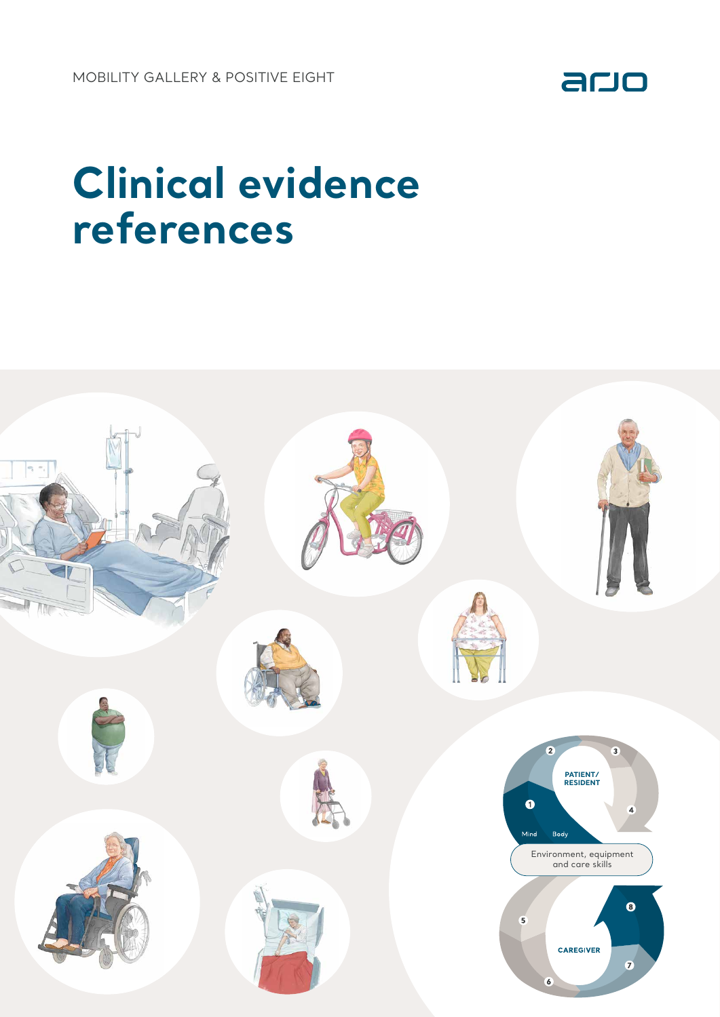

## **Clinical evidence references**

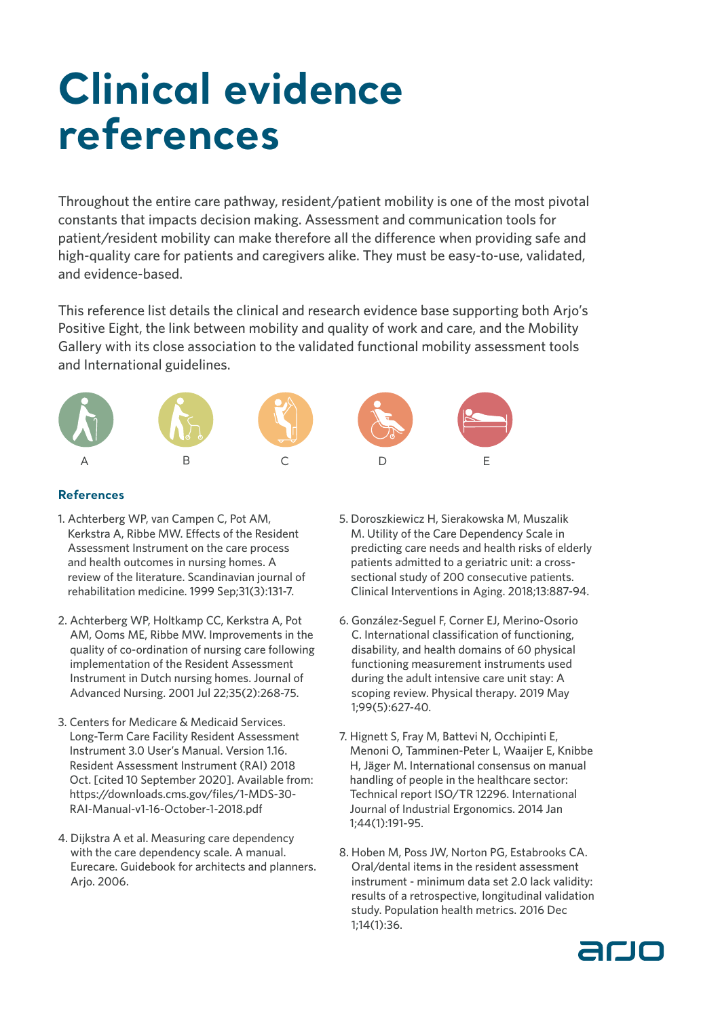## **Clinical evidence references**

Throughout the entire care pathway, resident/patient mobility is one of the most pivotal constants that impacts decision making. Assessment and communication tools for patient/resident mobility can make therefore all the difference when providing safe and high-quality care for patients and caregivers alike. They must be easy-to-use, validated, and evidence-based.

This reference list details the clinical and research evidence base supporting both Arjo's Positive Eight, the link between mobility and quality of work and care, and the Mobility Gallery with its close association to the validated functional mobility assessment tools and International guidelines.



## **References**

- 1. Achterberg WP, van Campen C, Pot AM, Kerkstra A, Ribbe MW. Effects of the Resident Assessment Instrument on the care process and health outcomes in nursing homes. A review of the literature. Scandinavian journal of rehabilitation medicine. 1999 Sep;31(3):131-7.
- 2. Achterberg WP, Holtkamp CC, Kerkstra A, Pot AM, Ooms ME, Ribbe MW. Improvements in the quality of co-ordination of nursing care following implementation of the Resident Assessment Instrument in Dutch nursing homes. Journal of Advanced Nursing. 2001 Jul 22;35(2):268-75.
- 3. Centers for Medicare & Medicaid Services. Long-Term Care Facility Resident Assessment Instrument 3.0 User's Manual. Version 1.16. Resident Assessment Instrument (RAI) 2018 Oct. [cited 10 September 2020]. Available from: https://downloads.cms.gov/files/1-MDS-30- RAI-Manual-v1-16-October-1-2018.pdf
- 4. Dijkstra A et al. Measuring care dependency with the care dependency scale. A manual. Eurecare. Guidebook for architects and planners. Arjo. 2006.
- 5. Doroszkiewicz H, Sierakowska M, Muszalik M. Utility of the Care Dependency Scale in predicting care needs and health risks of elderly patients admitted to a geriatric unit: a crosssectional study of 200 consecutive patients. Clinical Interventions in Aging. 2018;13:887-94.
- 6. González-Seguel F, Corner EJ, Merino-Osorio C. International classification of functioning, disability, and health domains of 60 physical functioning measurement instruments used during the adult intensive care unit stay: A scoping review. Physical therapy. 2019 May 1;99(5):627-40.
- 7. Hignett S, Fray M, Battevi N, Occhipinti E, Menoni O, Tamminen-Peter L, Waaijer E, Knibbe H, Jäger M. International consensus on manual handling of people in the healthcare sector: Technical report ISO/TR 12296. International Journal of Industrial Ergonomics. 2014 Jan 1;44(1):191-95.
- 8. Hoben M, Poss JW, Norton PG, Estabrooks CA. Oral/dental items in the resident assessment instrument - minimum data set 2.0 lack validity: results of a retrospective, longitudinal validation study. Population health metrics. 2016 Dec 1;14(1):36.

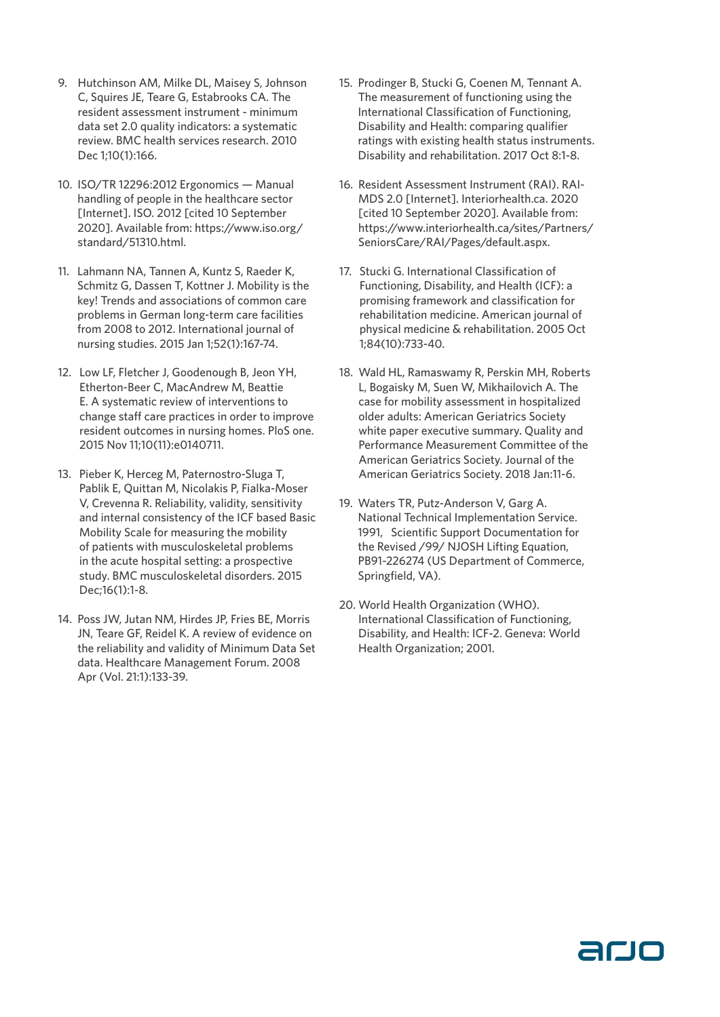- 9. Hutchinson AM, Milke DL, Maisey S, Johnson C, Squires JE, Teare G, Estabrooks CA. The resident assessment instrument - minimum data set 2.0 quality indicators: a systematic review. BMC health services research. 2010 Dec 1;10(1):166.
- 10. ISO/TR 12296:2012 Ergonomics Manual handling of people in the healthcare sector [Internet]. ISO. 2012 [cited 10 September 2020]. Available from: https://www.iso.org/ standard/51310.html.
- 11. Lahmann NA, Tannen A, Kuntz S, Raeder K, Schmitz G, Dassen T, Kottner J. Mobility is the key! Trends and associations of common care problems in German long-term care facilities from 2008 to 2012. International journal of nursing studies. 2015 Jan 1;52(1):167-74.
- 12. Low LF, Fletcher J, Goodenough B, Jeon YH, Etherton-Beer C, MacAndrew M, Beattie E. A systematic review of interventions to change staff care practices in order to improve resident outcomes in nursing homes. PloS one. 2015 Nov 11;10(11):e0140711.
- 13. Pieber K, Herceg M, Paternostro-Sluga T, Pablik E, Quittan M, Nicolakis P, Fialka-Moser V, Crevenna R. Reliability, validity, sensitivity and internal consistency of the ICF based Basic Mobility Scale for measuring the mobility of patients with musculoskeletal problems in the acute hospital setting: a prospective study. BMC musculoskeletal disorders. 2015 Dec;16(1):1-8.
- 14. Poss JW, Jutan NM, Hirdes JP, Fries BE, Morris JN, Teare GF, Reidel K. A review of evidence on the reliability and validity of Minimum Data Set data. Healthcare Management Forum. 2008 Apr (Vol. 21:1):133-39.
- 15. Prodinger B, Stucki G, Coenen M, Tennant A. The measurement of functioning using the International Classification of Functioning, Disability and Health: comparing qualifier ratings with existing health status instruments. Disability and rehabilitation. 2017 Oct 8:1-8.
- 16. Resident Assessment Instrument (RAI). RAI-MDS 2.0 [Internet]. Interiorhealth.ca. 2020 [cited 10 September 2020]. Available from: https://www.interiorhealth.ca/sites/Partners/ SeniorsCare/RAI/Pages/default.aspx.
- 17. Stucki G. International Classification of Functioning, Disability, and Health (ICF): a promising framework and classification for rehabilitation medicine. American journal of physical medicine & rehabilitation. 2005 Oct 1;84(10):733-40.
- 18. Wald HL, Ramaswamy R, Perskin MH, Roberts L, Bogaisky M, Suen W, Mikhailovich A. The case for mobility assessment in hospitalized older adults: American Geriatrics Society white paper executive summary. Quality and Performance Measurement Committee of the American Geriatrics Society. Journal of the American Geriatrics Society. 2018 Jan:11-6.
- 19. Waters TR, Putz-Anderson V, Garg A. National Technical Implementation Service. 1991, Scientific Support Documentation for the Revised /99/ NJOSH Lifting Equation, PB91-226274 (US Department of Commerce, Springfield, VA).
- 20. World Health Organization (WHO). International Classification of Functioning, Disability, and Health: ICF-2. Geneva: World Health Organization; 2001.